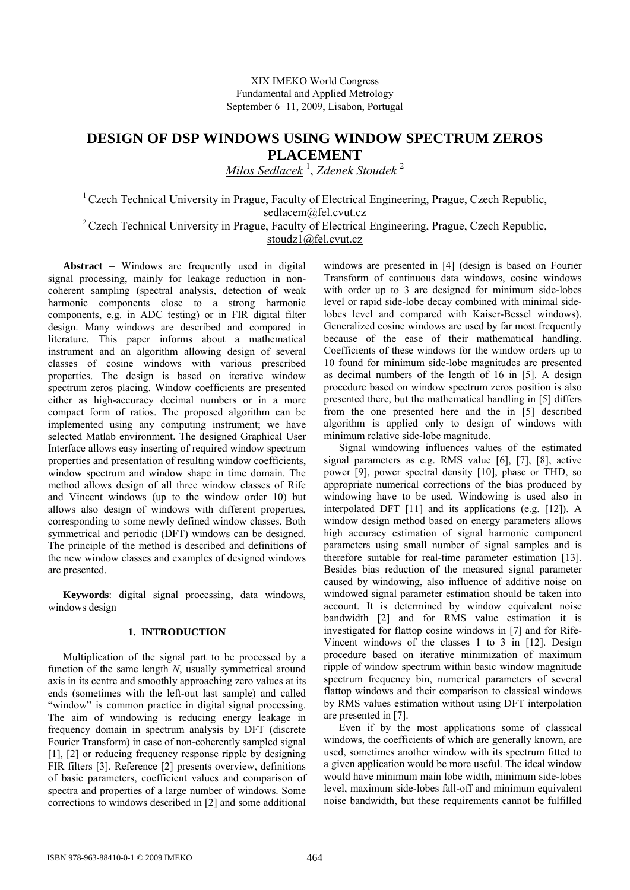XIX IMEKO World Congress Fundamental and Applied Metrology September 6–11, 2009, Lisabon, Portugal

# **DESIGN OF DSP WINDOWS USING WINDOW SPECTRUM ZEROS PLACEMENT**

*Milos Sedlacek* <sup>1</sup> , *Zdenek Stoudek* <sup>2</sup>

1 Czech Technical University in Prague, Faculty of Electrical Engineering, Prague, Czech Republic, [sedlacem@fel.cvut.cz](mailto:sedlacem@fel.cvut.cz)

<sup>2</sup> Czech Technical University in Prague, Faculty of Electrical Engineering, Prague, Czech Republic, stoudz1@fel.cvut.cz

Abstract - Windows are frequently used in digital signal processing, mainly for leakage reduction in noncoherent sampling (spectral analysis, detection of weak harmonic components close to a strong harmonic components, e.g. in ADC testing) or in FIR digital filter design. Many windows are described and compared in literature. This paper informs about a mathematical instrument and an algorithm allowing design of several classes of cosine windows with various prescribed properties. The design is based on iterative window spectrum zeros placing. Window coefficients are presented either as high-accuracy decimal numbers or in a more compact form of ratios. The proposed algorithm can be implemented using any computing instrument; we have selected Matlab environment. The designed Graphical User Interface allows easy inserting of required window spectrum properties and presentation of resulting window coefficients, window spectrum and window shape in time domain. The method allows design of all three window classes of Rife and Vincent windows (up to the window order 10) but allows also design of windows with different properties, corresponding to some newly defined window classes. Both symmetrical and periodic (DFT) windows can be designed. The principle of the method is described and definitions of the new window classes and examples of designed windows are presented.

**Keywords**: digital signal processing, data windows, windows design

# **1. INTRODUCTION**

Multiplication of the signal part to be processed by a function of the same length *N*, usually symmetrical around axis in its centre and smoothly approaching zero values at its ends (sometimes with the left-out last sample) and called "window" is common practice in digital signal processing. The aim of windowing is reducing energy leakage in frequency domain in spectrum analysis by DFT (discrete Fourier Transform) in case of non-coherently sampled signal [1], [2] or reducing frequency response ripple by designing FIR filters [3]. Reference [2] presents overview, definitions of basic parameters, coefficient values and comparison of spectra and properties of a large number of windows. Some corrections to windows described in [2] and some additional

windows are presented in [4] (design is based on Fourier Transform of continuous data windows, cosine windows with order up to 3 are designed for minimum side-lobes level or rapid side-lobe decay combined with minimal sidelobes level and compared with Kaiser-Bessel windows). Generalized cosine windows are used by far most frequently because of the ease of their mathematical handling. Coefficients of these windows for the window orders up to 10 found for minimum side-lobe magnitudes are presented as decimal numbers of the length of 16 in [5]. A design procedure based on window spectrum zeros position is also presented there, but the mathematical handling in [5] differs from the one presented here and the in [5] described algorithm is applied only to design of windows with minimum relative side-lobe magnitude.

Signal windowing influences values of the estimated signal parameters as e.g. RMS value [6], [7], [8], active power [9], power spectral density [10], phase or THD, so appropriate numerical corrections of the bias produced by windowing have to be used. Windowing is used also in interpolated DFT [11] and its applications (e.g. [12]). A window design method based on energy parameters allows high accuracy estimation of signal harmonic component parameters using small number of signal samples and is therefore suitable for real-time parameter estimation [13]. Besides bias reduction of the measured signal parameter caused by windowing, also influence of additive noise on windowed signal parameter estimation should be taken into account. It is determined by window equivalent noise bandwidth [2] and for RMS value estimation it is investigated for flattop cosine windows in [7] and for Rife-Vincent windows of the classes 1 to 3 in [12]. Design procedure based on iterative minimization of maximum ripple of window spectrum within basic window magnitude spectrum frequency bin, numerical parameters of several flattop windows and their comparison to classical windows by RMS values estimation without using DFT interpolation are presented in [7].

Even if by the most applications some of classical windows, the coefficients of which are generally known, are used, sometimes another window with its spectrum fitted to a given application would be more useful. The ideal window would have minimum main lobe width, minimum side-lobes level, maximum side-lobes fall-off and minimum equivalent noise bandwidth, but these requirements cannot be fulfilled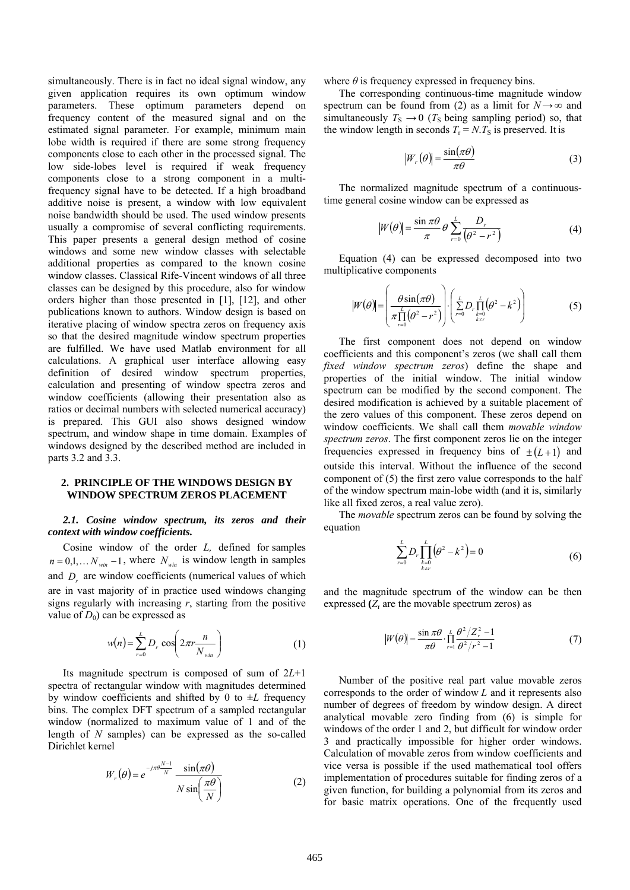simultaneously. There is in fact no ideal signal window, any given application requires its own optimum window parameters. These optimum parameters depend on frequency content of the measured signal and on the estimated signal parameter. For example, minimum main lobe width is required if there are some strong frequency components close to each other in the processed signal. The low side-lobes level is required if weak frequency components close to a strong component in a multifrequency signal have to be detected. If a high broadband additive noise is present, a window with low equivalent noise bandwidth should be used. The used window presents usually a compromise of several conflicting requirements. This paper presents a general design method of cosine windows and some new window classes with selectable additional properties as compared to the known cosine window classes. Classical Rife-Vincent windows of all three classes can be designed by this procedure, also for window orders higher than those presented in [1], [12], and other publications known to authors. Window design is based on iterative placing of window spectra zeros on frequency axis so that the desired magnitude window spectrum properties are fulfilled. We have used Matlab environment for all calculations. A graphical user interface allowing easy definition of desired window spectrum properties, calculation and presenting of window spectra zeros and window coefficients (allowing their presentation also as ratios or decimal numbers with selected numerical accuracy) is prepared. This GUI also shows designed window spectrum, and window shape in time domain. Examples of windows designed by the described method are included in parts 3.2 and 3.3.

### **2. PRINCIPLE OF THE WINDOWS DESIGN BY WINDOW SPECTRUM ZEROS PLACEMENT**

## *2.1. Cosine window spectrum, its zeros and their context with window coefficients.*

Cosine window of the order *L,* defined for samples  $n = 0, 1, \dots N_{win} - 1$ , where  $N_{win}$  is window length in samples and  $D_r$  are window coefficients (numerical values of which are in vast majority of in practice used windows changing signs regularly with increasing *r*, starting from the positive value of  $D_0$ ) can be expressed as

$$
w(n) = \sum_{r=0}^{L} D_r \cos\left(2\pi r \frac{n}{N_{\text{win}}}\right)
$$
 (1)

Its magnitude spectrum is composed of sum of 2*L*+1 spectra of rectangular window with magnitudes determined by window coefficients and shifted by 0 to ±*L* frequency bins. The complex DFT spectrum of a sampled rectangular window (normalized to maximum value of 1 and of the length of *N* samples) can be expressed as the so-called Dirichlet kernel

$$
W_r(\theta) = e^{-j\pi\theta \frac{N-1}{N}} \frac{\sin(\pi\theta)}{N \sin\left(\frac{\pi\theta}{N}\right)}
$$
(2)

where  $\theta$  is frequency expressed in frequency bins.

The corresponding continuous-time magnitude window spectrum can be found from (2) as a limit for  $N \rightarrow \infty$  and simultaneously  $T_s \rightarrow 0$  ( $T_s$  being sampling period) so, that the window length in seconds  $T_r = N.T_s$  is preserved. It is

$$
|W_r(\theta)| = \frac{\sin(\pi\theta)}{\pi\theta}
$$
 (3)

The normalized magnitude spectrum of a continuoustime general cosine window can be expressed as

$$
|W(\theta)| = \frac{\sin \pi \theta}{\pi} \theta \sum_{r=0}^{L} \frac{D_r}{(\theta^2 - r^2)}
$$
(4)

Equation (4) can be expressed decomposed into two multiplicative components

$$
|W(\theta)| = \left(\frac{\theta \sin(\pi \theta)}{\pi \prod_{r=0}^{L} (\theta^2 - r^2)}\right) \cdot \left(\sum_{r=0}^{L} D_r \prod_{\substack{k=0 \ k \neq r}}^{L} (\theta^2 - k^2)\right)
$$
(5)

The first component does not depend on window coefficients and this component's zeros (we shall call them *fixed window spectrum zeros*) define the shape and properties of the initial window. The initial window spectrum can be modified by the second component. The desired modification is achieved by a suitable placement of the zero values of this component. These zeros depend on window coefficients. We shall call them *movable window spectrum zeros*. The first component zeros lie on the integer frequencies expressed in frequency bins of  $\pm (L + 1)$  and outside this interval. Without the influence of the second component of (5) the first zero value corresponds to the half of the window spectrum main-lobe width (and it is, similarly like all fixed zeros, a real value zero).

The *movable* spectrum zeros can be found by solving the equation

$$
\sum_{r=0}^{L} D_r \prod_{\substack{k=0 \ k \neq r}}^{L} (\theta^2 - k^2) = 0
$$
 (6)

and the magnitude spectrum of the window can be then expressed  $(Z<sub>r</sub>$  are the movable spectrum zeros) as

$$
|W(\theta)| = \frac{\sin \pi \theta}{\pi \theta} \cdot \prod_{r=1}^{L} \frac{\theta^2 / Z_r^2 - 1}{\theta^2 / r^2 - 1}
$$
 (7)

Number of the positive real part value movable zeros corresponds to the order of window *L* and it represents also number of degrees of freedom by window design. A direct analytical movable zero finding from (6) is simple for windows of the order 1 and 2, but difficult for window order 3 and practically impossible for higher order windows. Calculation of movable zeros from window coefficients and vice versa is possible if the used mathematical tool offers implementation of procedures suitable for finding zeros of a given function, for building a polynomial from its zeros and for basic matrix operations. One of the frequently used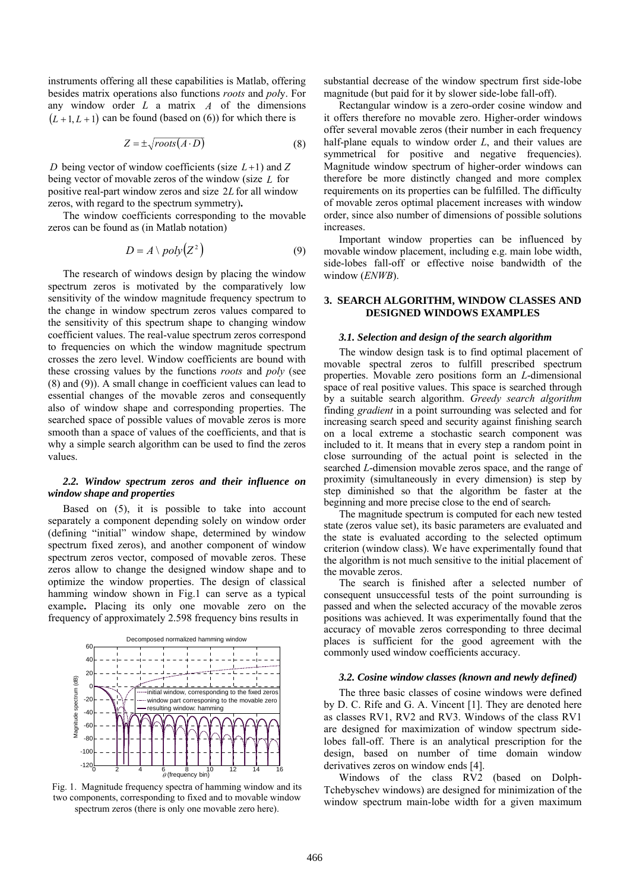instruments offering all these capabilities is Matlab, offering besides matrix operations also functions *roots* and *pol*y. For any window order  $L$  a matrix  $A$  of the dimensions  $(L+1, L+1)$  can be found (based on (6)) for which there is

$$
Z = \pm \sqrt{roots(A \cdot D)}\tag{8}
$$

*D* being vector of window coefficients (size  $L+1$ ) and Z being vector of movable zeros of the window (size *L* for positive real-part window zeros and size 2*L* for all window zeros, with regard to the spectrum symmetry)**.** 

The window coefficients corresponding to the movable zeros can be found as (in Matlab notation)

$$
D = A \setminus poly(Z^2) \tag{9}
$$

The research of windows design by placing the window spectrum zeros is motivated by the comparatively low sensitivity of the window magnitude frequency spectrum to the change in window spectrum zeros values compared to the sensitivity of this spectrum shape to changing window coefficient values. The real-value spectrum zeros correspond to frequencies on which the window magnitude spectrum crosses the zero level. Window coefficients are bound with these crossing values by the functions *roots* and *poly* (see (8) and (9)). A small change in coefficient values can lead to essential changes of the movable zeros and consequently also of window shape and corresponding properties. The searched space of possible values of movable zeros is more smooth than a space of values of the coefficients, and that is why a simple search algorithm can be used to find the zeros values.

## *2.2. Window spectrum zeros and their influence on window shape and properties*

Based on (5), it is possible to take into account separately a component depending solely on window order (defining "initial" window shape, determined by window spectrum fixed zeros), and another component of window spectrum zeros vector, composed of movable zeros. These zeros allow to change the designed window shape and to optimize the window properties. The design of classical hamming window shown in Fig.1 can serve as a typical example**.** Placing its only one movable zero on the frequency of approximately 2.598 frequency bins results in



Fig. 1. Magnitude frequency spectra of hamming window and its two components, corresponding to fixed and to movable window spectrum zeros (there is only one movable zero here).

substantial decrease of the window spectrum first side-lobe magnitude (but paid for it by slower side-lobe fall-off).

Rectangular window is a zero-order cosine window and it offers therefore no movable zero. Higher-order windows offer several movable zeros (their number in each frequency half-plane equals to window order *L*, and their values are symmetrical for positive and negative frequencies). Magnitude window spectrum of higher-order windows can therefore be more distinctly changed and more complex requirements on its properties can be fulfilled. The difficulty of movable zeros optimal placement increases with window order, since also number of dimensions of possible solutions increases.

Important window properties can be influenced by movable window placement, including e.g. main lobe width, side-lobes fall-off or effective noise bandwidth of the window (*ENWB*).

# **3. SEARCH ALGORITHM, WINDOW CLASSES AND DESIGNED WINDOWS EXAMPLES**

#### *3.1. Selection and design of the search algorithm*

The window design task is to find optimal placement of movable spectral zeros to fulfill prescribed spectrum properties. Movable zero positions form an *L*-dimensional space of real positive values. This space is searched through by a suitable search algorithm. *Greedy search algorithm* finding *gradient* in a point surrounding was selected and for increasing search speed and security against finishing search on a local extreme a stochastic search component was included to it. It means that in every step a random point in close surrounding of the actual point is selected in the searched *L*-dimension movable zeros space, and the range of proximity (simultaneously in every dimension) is step by step diminished so that the algorithm be faster at the beginning and more precise close to the end of search.

The magnitude spectrum is computed for each new tested state (zeros value set), its basic parameters are evaluated and the state is evaluated according to the selected optimum criterion (window class). We have experimentally found that the algorithm is not much sensitive to the initial placement of the movable zeros.

The search is finished after a selected number of consequent unsuccessful tests of the point surrounding is passed and when the selected accuracy of the movable zeros positions was achieved. It was experimentally found that the accuracy of movable zeros corresponding to three decimal places is sufficient for the good agreement with the commonly used window coefficients accuracy.

#### *3.2. Cosine window classes (known and newly defined)*

The three basic classes of cosine windows were defined by D. C. Rife and G. A. Vincent [1]. They are denoted here as classes RV1, RV2 and RV3. Windows of the class RV1 are designed for maximization of window spectrum sidelobes fall-off. There is an analytical prescription for the design, based on number of time domain window derivatives zeros on window ends [4].

Windows of the class RV2 (based on Dolph-Tchebyschev windows) are designed for minimization of the window spectrum main-lobe width for a given maximum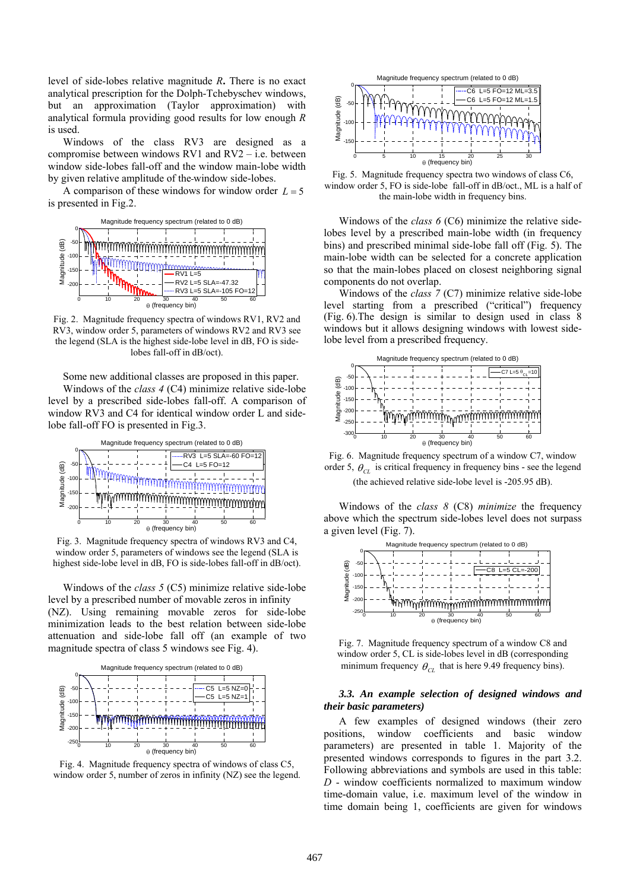level of side-lobes relative magnitude *R***.** There is no exact analytical prescription for the Dolph-Tchebyschev windows, but an approximation (Taylor approximation) with analytical formula providing good results for low enough *R* is used.

Windows of the class RV3 are designed as a compromise between windows RV1 and RV2 – i.e. between window side-lobes fall-off and the window main-lobe width by given relative amplitude of the window side-lobes.

A comparison of these windows for window order  $L = 5$ is presented in Fig.2.



Fig. 2. Magnitude frequency spectra of windows RV1, RV2 and RV3, window order 5, parameters of windows RV2 and RV3 see the legend (SLA is the highest side-lobe level in dB, FO is sidelobes fall-off in dB/oct).

Some new additional classes are proposed in this paper. Windows of the *class 4* (C4) minimize relative side-lobe

level by a prescribed side-lobes fall-off. A comparison of window RV3 and C4 for identical window order L and sidelobe fall-off FO is presented in Fig.3.



Fig. 3. Magnitude frequency spectra of windows RV3 and C4, window order 5, parameters of windows see the legend (SLA is highest side-lobe level in dB, FO is side-lobes fall-off in dB/oct).

Windows of the *class 5* (C5) minimize relative side-lobe level by a prescribed number of movable zeros in infinity (NZ). Using remaining movable zeros for side-lobe minimization leads to the best relation between side-lobe attenuation and side-lobe fall off (an example of two magnitude spectra of class 5 windows see Fig. 4).



Fig. 4. Magnitude frequency spectra of windows of class C5, window order 5, number of zeros in infinity (NZ) see the legend.



Fig. 5. Magnitude frequency spectra two windows of class C6, window order 5, FO is side-lobe fall-off in dB/oct., ML is a half of the main-lobe width in frequency bins.

Windows of the *class 6* (C6) minimize the relative sidelobes level by a prescribed main-lobe width (in frequency bins) and prescribed minimal side-lobe fall off (Fig. 5). The main-lobe width can be selected for a concrete application so that the main-lobes placed on closest neighboring signal components do not overlap.

Windows of the *class 7* (C7) minimize relative side-lobe level starting from a prescribed ("critical") frequency (Fig. 6).The design is similar to design used in class 8 windows but it allows designing windows with lowest sidelobe level from a prescribed frequency.



Fig. 6. Magnitude frequency spectrum of a window C7, window order 5,  $\theta_{CL}$  is critical frequency in frequency bins - see the legend (the achieved relative side-lobe level is -205.95 dB).

Windows of the *class 8* (C8) *minimize* the frequency above which the spectrum side-lobes level does not surpass a given level (Fig. 7).



Fig. 7. Magnitude frequency spectrum of a window C8 and window order 5, CL is side-lobes level in dB (corresponding minimum frequency  $\theta_{CI}$  that is here 9.49 frequency bins).

## *3.3. An example selection of designed windows and their basic parameters)*

A few examples of designed windows (their zero positions, window coefficients and basic window parameters) are presented in table 1. Majority of the presented windows corresponds to figures in the part 3.2. Following abbreviations and symbols are used in this table: *D* - window coefficients normalized to maximum window time-domain value, i.e. maximum level of the window in time domain being 1, coefficients are given for windows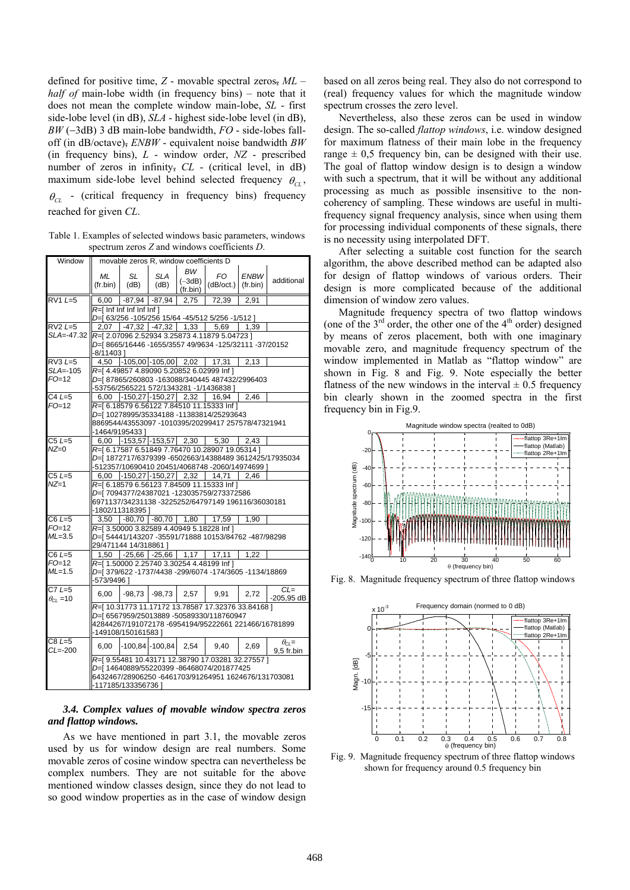defined for positive time, *Z* - movable spectral zeros, *ML* – *half of* main-lobe width (in frequency bins) – note that it does not mean the complete window main-lobe, *SL* - first side-lobe level (in dB), *SLA* - highest side-lobe level (in dB),  $BW$  ( $-3dB$ ) 3 dB main-lobe bandwidth,  $FO$  - side-lobes falloff (in dB/octave), *ENBW* - equivalent noise bandwidth *BW*  (in frequency bins), *L* - window order, *NZ* - prescribed number of zeros in infinity, *CL* - (critical level, in dB) maximum side-lobe level behind selected frequency  $\theta_{CL}$ ,  $\theta_{C}$  - (critical frequency in frequency bins) frequency reached for given *CL*.

Table 1. Examples of selected windows basic parameters, windows spectrum zeros *Z* and windows coefficients *D*.

| Window                        | movable zeros R, window coefficients D                                                                                                                                      |                                 |                    |                                           |                                                                                                   |                         |                                                       |
|-------------------------------|-----------------------------------------------------------------------------------------------------------------------------------------------------------------------------|---------------------------------|--------------------|-------------------------------------------|---------------------------------------------------------------------------------------------------|-------------------------|-------------------------------------------------------|
|                               | ML<br>$(fr \cdot bin)$                                                                                                                                                      | SL<br>(dB)                      | <b>SLA</b><br>(dB) | <b>BW</b><br>$(-3dB)$<br>$(fr \cdot bin)$ | FO.<br>(dB/oct.)                                                                                  | <b>ENBW</b><br>(fr.bin) | additional                                            |
| $RV1L=5$                      |                                                                                                                                                                             | $6,00$ $-87,94$ $-87,94$        |                    | 2.75                                      | 72,39                                                                                             | 2.91                    |                                                       |
|                               | $R =$ [ Inf Inf Inf Inf Inf ]<br>D=[ 63/256 -105/256 15/64 -45/512 5/256 -1/512 ]                                                                                           |                                 |                    |                                           |                                                                                                   |                         |                                                       |
| $RV2L=5$                      |                                                                                                                                                                             | $2,07$ -47,32 -47,32 1,33 5,69  |                    |                                           |                                                                                                   | 1,39                    |                                                       |
| SLA=-47.32                    | R=[2.07096 2.52934 3.25873 4.11879 5.04723 ]<br>D=[8665/16446-1655/3557 49/9634-125/32111-37/20152<br>-8/114031                                                             |                                 |                    |                                           |                                                                                                   |                         |                                                       |
| $RV3L=5$                      |                                                                                                                                                                             | 4,50 -105,00 -105,00 2,02       |                    |                                           | 17,31                                                                                             | 2,13                    |                                                       |
| SLA=-105<br>$FO=12$           | R=[4.49857 4.89090 5.20852 6.02999 Inf]<br>D=[87865/260803 -163088/340445 487432/2996403<br>-53756/2565221 572/1343281 -1/1436838 ]                                         |                                 |                    |                                           |                                                                                                   |                         |                                                       |
| $C4L=5$                       |                                                                                                                                                                             | $6,00$ -150,27 -150,27 2,32     |                    |                                           | 16.94                                                                                             | 2.46                    |                                                       |
| $FO=12$                       | R=[6.18579 6.56122 7.84510 11.15333 Inf ]<br>D=[10278995/35334188-11383814/25293643<br>8869544/43553097 -1010395/20299417 257578/47321941<br>-1464/9195433 ]                |                                 |                    |                                           |                                                                                                   |                         |                                                       |
| $C5L=5$                       |                                                                                                                                                                             | $6,00$ -153,57 -153,57 2,30     |                    |                                           | 5,30                                                                                              | 2,43                    |                                                       |
| $NZ=0$                        |                                                                                                                                                                             |                                 |                    |                                           | R=[6.17587 6.51849 7.76470 10.28907 19.05314 ]<br>-512357/10690410 20451/4068748 -2060/14974699 ] |                         | D=[1872717/6379399 -6502663/14388489 3612425/17935034 |
| $C5L=5$                       |                                                                                                                                                                             | $6,00$ -150,27 -150,27 2,32     |                    |                                           | 14,71                                                                                             | 2,46                    |                                                       |
| $NZ=1$                        | R=[ 6.18579 6.56123 7.84509 11.15333 Inf ]<br>D=[7094377/24387021-123035759/273372586<br>6971137/34231138 -3225252/64797149 196116/36030181<br>-1802/11318395]              |                                 |                    |                                           |                                                                                                   |                         |                                                       |
| $C6L=5$                       |                                                                                                                                                                             | 3,50 -80,70 -80,70 1,80 17,59   |                    |                                           |                                                                                                   | 1,90                    |                                                       |
| F0=12<br>$ML=3.5$             | R=[3.50000 3.82589 4.40949 5.18228 Inf ]<br>D=[54441/143207-35591/71888 10153/84762-487/98298<br>29/471144 14/318861 1                                                      |                                 |                    |                                           |                                                                                                   |                         |                                                       |
| $C6L=5$                       |                                                                                                                                                                             | $1,50$ -25,66 -25,66 1,17 17,11 |                    |                                           |                                                                                                   | 1,22                    |                                                       |
| F0=12<br>$ML=1.5$             | R=[1.50000 2.25740 3.30254 4.48199 Inf ]<br>D=[379/622 -1737/4438 -299/6074 -174/3605 -1134/18869<br>-573/9496]                                                             |                                 |                    |                                           |                                                                                                   |                         |                                                       |
| $C7L=5$<br>$\theta_{Cl}$ = 10 | 6,00                                                                                                                                                                        | $-98,73$                        | -98,73             | 2,57                                      | 9,91                                                                                              | 2,72                    | $CL =$<br>$-205,95$ dB                                |
|                               | R=[10.31773 11.17172 13.78587 17.32376 33.84168 ]<br>D=[ 6567959/25013889 -50589330/118760947<br>42844267/191072178 -6954194/95222661 221466/16781899<br>-149108/150161583] |                                 |                    |                                           |                                                                                                   |                         |                                                       |
| $C8L=5$<br>$CL=-200$          | 6.00                                                                                                                                                                        | $-100,84$ $-100,84$             |                    | 2,54                                      | 9,40                                                                                              | 2,69                    | $\theta_{Cl}$ =<br>9,5 fr.bin                         |
|                               | R=[9.55481 10.43171 12.38790 17.03281 32.27557 ]<br>D=[14640889/55220399-86468074/201877425<br>6432467/28906250 -6461703/91264951 1624676/131703081<br>-117185/133356736 1  |                                 |                    |                                           |                                                                                                   |                         |                                                       |

## *3.4. Complex values of movable window spectra zeros and flattop windows.*

As we have mentioned in part 3.1, the movable zeros used by us for window design are real numbers. Some movable zeros of cosine window spectra can nevertheless be complex numbers. They are not suitable for the above mentioned window classes design, since they do not lead to so good window properties as in the case of window design based on all zeros being real. They also do not correspond to (real) frequency values for which the magnitude window spectrum crosses the zero level.

Nevertheless, also these zeros can be used in window design. The so-called *flattop windows*, i.e. window designed for maximum flatness of their main lobe in the frequency range  $\pm$  0.5 frequency bin, can be designed with their use. The goal of flattop window design is to design a window with such a spectrum, that it will be without any additional processing as much as possible insensitive to the noncoherency of sampling. These windows are useful in multifrequency signal frequency analysis, since when using them for processing individual components of these signals, there is no necessity using interpolated DFT.

After selecting a suitable cost function for the search algorithm, the above described method can be adapted also for design of flattop windows of various orders. Their design is more complicated because of the additional dimension of window zero values.

Magnitude frequency spectra of two flattop windows (one of the  $3<sup>rd</sup>$  order, the other one of the  $4<sup>th</sup>$  order) designed by means of zeros placement, both with one imaginary movable zero, and magnitude frequency spectrum of the window implemented in Matlab as "flattop window" are shown in Fig. 8 and Fig. 9. Note especially the better flatness of the new windows in the interval  $\pm$  0.5 frequency bin clearly shown in the zoomed spectra in the first frequency bin in Fig.9.



Fig. 8. Magnitude frequency spectrum of three flattop windows



Fig. 9. Magnitude frequency spectrum of three flattop windows shown for frequency around 0.5 frequency bin